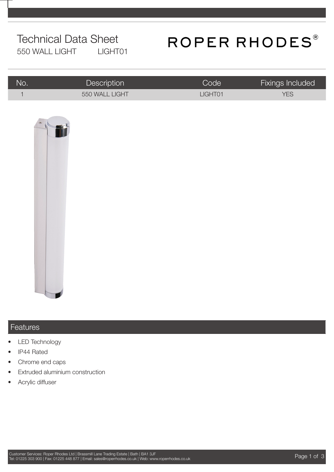## Technical Data Sheet 550 WALL LIGHT LIGHT01

# ROPER RHODES®

| No. | <b>Description</b> | Code <sup>1</sup> | Fixings Included |
|-----|--------------------|-------------------|------------------|
|     | 550 WALL LIGHT     | LIGHT01           | <b>YES</b>       |



### Features

- **LED Technology**
- IP44 Rated
- Chrome end caps
- **Extruded aluminium construction**
- Acrylic diffuser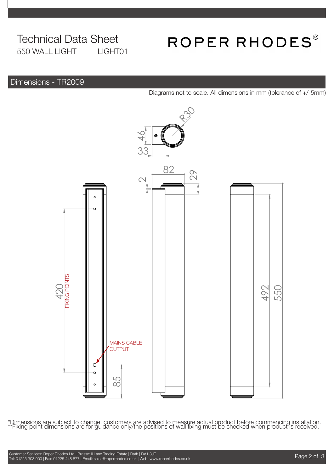## Technical Data Sheet 550 WALL LIGHT LIGHT01

# ROPER RHODES®

### Dimensions - TR2009

Diagrams not to scale. All dimensions in mm (tolerance of +/-5mm)



\*Dimensions are subject to change, customers are advised to measure actual product before commencing installation.<br>\*\*Fixing point dimensions are for guidance only/the positions of wall fixing must be checked when product i